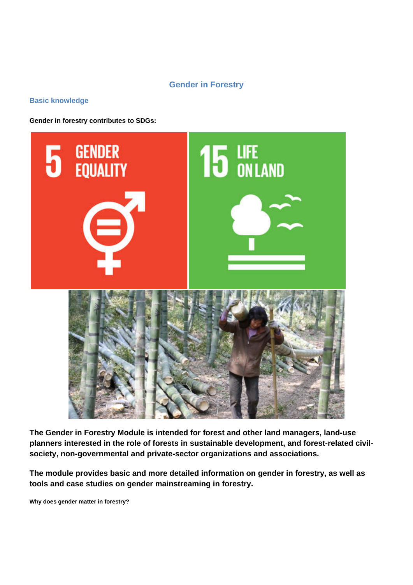# **Gender in Forestry**

# **Basic knowledge**

**Gender in forestry contributes to SDGs:**



**The Gender in Forestry Module is intended for forest and other land managers, land-use planners interested in the role of forests in sustainable development, and forest-related civilsociety, non-governmental and private-sector organizations and associations.**

**The module provides basic and more detailed information on gender in forestry, as well as tools and case studies on gender mainstreaming in forestry.**

**Why does gender matter in forestry?**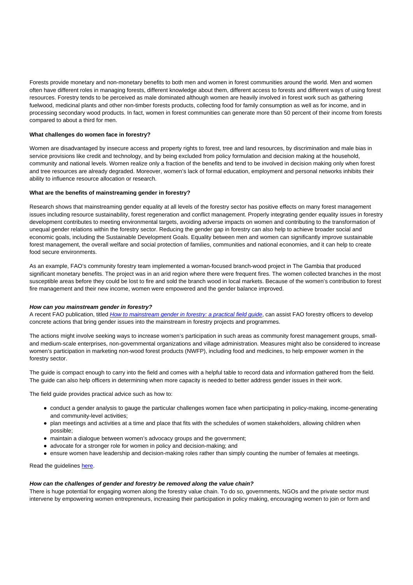Forests provide monetary and non-monetary benefits to both men and women in forest communities around the world. Men and women often have different roles in managing forests, different knowledge about them, different access to forests and different ways of using forest resources. Forestry tends to be perceived as male dominated although women are heavily involved in forest work such as gathering fuelwood, medicinal plants and other non-timber forests products, collecting food for family consumption as well as for income, and in processing secondary wood products. In fact, women in forest communities can generate more than 50 percent of their income from forests compared to about a third for men.

### **What challenges do women face in forestry?**

Women are disadvantaged by insecure access and property rights to forest, tree and land resources, by discrimination and male bias in service provisions like credit and technology, and by being excluded from policy formulation and decision making at the household, community and national levels. Women realize only a fraction of the benefits and tend to be involved in decision making only when forest and tree resources are already degraded. Moreover, women's lack of formal education, employment and personal networks inhibits their ability to influence resource allocation or research.

### **What are the benefits of mainstreaming gender in forestry?**

Research shows that mainstreaming gender equality at all levels of the forestry sector has positive effects on many forest management issues including resource sustainability, forest regeneration and conflict management. Properly integrating gender equality issues in forestry development contributes to meeting environmental targets, avoiding adverse impacts on women and contributing to the transformation of unequal gender relations within the forestry sector. Reducing the gender gap in forestry can also help to achieve broader social and economic goals, including the Sustainable Development Goals. Equality between men and women can significantly improve sustainable forest management, the overall welfare and social protection of families, communities and national economies, and it can help to create food secure environments.

As an example, FAO's community forestry team implemented a woman-focused branch-wood project in The Gambia that produced significant monetary benefits. The project was in an arid region where there were frequent fires. The women collected branches in the most susceptible areas before they could be lost to fire and sold the branch wood in local markets. Because of the women's contribution to forest fire management and their new income, women were empowered and the gender balance improved.

#### **How can you mainstream gender in forestry?**

A recent FAO publication, titled [How to mainstream gender in forestry: a practical field guide](http://www.fao.org/3/a-i6610e.pdf), can assist FAO forestry officers to develop concrete actions that bring gender issues into the mainstream in forestry projects and programmes.

The actions might involve seeking ways to increase women's participation in such areas as community forest management groups, smalland medium-scale enterprises, non-governmental organizations and village administration. Measures might also be considered to increase women's participation in marketing non-wood forest products (NWFP), including food and medicines, to help empower women in the forestry sector.

The guide is compact enough to carry into the field and comes with a helpful table to record data and information gathered from the field. The guide can also help officers in determining when more capacity is needed to better address gender issues in their work.

The field guide provides practical advice such as how to:

- conduct a gender analysis to gauge the particular challenges women face when participating in policy-making, income-generating and community-level activities;
- plan meetings and activities at a time and place that fits with the schedules of women stakeholders, allowing children when possible;
- maintain a dialogue between women's advocacy groups and the government;
- advocate for a stronger role for women in policy and decision-making; and
- ensure women have leadership and decision-making roles rather than simply counting the number of females at meetings.

Read the guidelines [here](http://www.fao.org/3/a-i6610e.pdf).

### **How can the challenges of gender and forestry be removed along the value chain?**

There is huge potential for engaging women along the forestry value chain. To do so, governments, NGOs and the private sector must intervene by empowering women entrepreneurs, increasing their participation in policy making, encouraging women to join or form and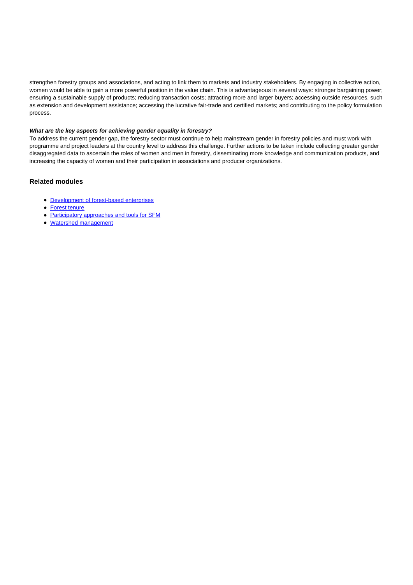strengthen forestry groups and associations, and acting to link them to markets and industry stakeholders. By engaging in collective action, women would be able to gain a more powerful position in the value chain. This is advantageous in several ways: stronger bargaining power; ensuring a sustainable supply of products; reducing transaction costs; attracting more and larger buyers; accessing outside resources, such as extension and development assistance; accessing the lucrative fair-trade and certified markets; and contributing to the policy formulation process.

### **What are the key aspects for achieving gender equality in forestry?**

To address the current gender gap, the forestry sector must continue to help mainstream gender in forestry policies and must work with programme and project leaders at the country level to address this challenge. Further actions to be taken include collecting greater gender disaggregated data to ascertain the roles of women and men in forestry, disseminating more knowledge and communication products, and increasing the capacity of women and their participation in associations and producer organizations.

### **Related modules**

- **[Development of forest-based enterprises](http://www.fao.org/sustainable-forest-management/toolbox/modules-alternative/development-of-forest-based-enterprises/basic-knowledge/es/)**
- [Forest tenure](http://www.fao.org/sustainable-forest-management/toolbox/modules-alternative/forest-tenure/basic-knowledge/es/)
- [Participatory approaches and tools for SFM](http://www.fao.org/sustainable-forest-management/toolbox/modules-alternative/participatory-approaches-and-tools-in-forestry/basic-knowledge/es/)
- [Watershed management](http://www.fao.org/sustainable-forest-management/toolbox/modules-alternative/watershed-management/basic-knowledge/es/)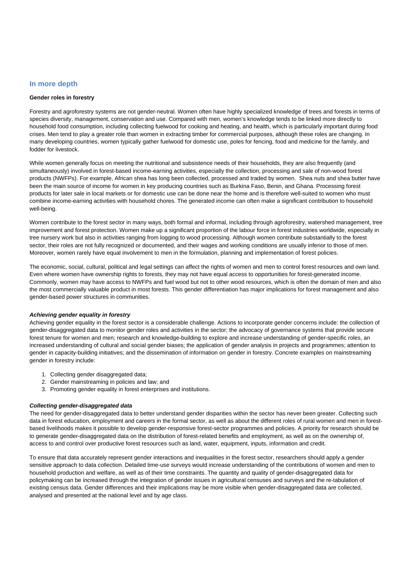## **In more depth**

### **Gender roles in forestry**

Forestry and agroforestry systems are not gender-neutral. Women often have highly specialized knowledge of trees and forests in terms of species diversity, management, conservation and use. Compared with men, women's knowledge tends to be linked more directly to household food consumption, including collecting fuelwood for cooking and heating, and health, which is particularly important during food crises. Men tend to play a greater role than women in extracting timber for commercial purposes, although these roles are changing. In many developing countries, women typically gather fuelwood for domestic use, poles for fencing, food and medicine for the family, and fodder for livestock.

While women generally focus on meeting the nutritional and subsistence needs of their households, they are also frequently (and simultaneously) involved in forest-based income-earning activities, especially the collection, processing and sale of non-wood forest products (NWFPs). For example, African shea has long been collected, processed and traded by women. Shea nuts and shea butter have been the main source of income for women in key producing countries such as Burkina Faso, Benin, and Ghana. Processing forest products for later sale in local markets or for domestic use can be done near the home and is therefore well-suited to women who must combine income-earning activities with household chores. The generated income can often make a significant contribution to household well-being.

Women contribute to the forest sector in many ways, both formal and informal, including through agroforestry, watershed management, tree improvement and forest protection. Women make up a significant proportion of the labour force in forest industries worldwide, especially in tree nursery work but also in activities ranging from logging to wood processing. Although women contribute substantially to the forest sector, their roles are not fully recognized or documented, and their wages and working conditions are usually inferior to those of men. Moreover, women rarely have equal involvement to men in the formulation, planning and implementation of forest policies.

The economic, social, cultural, political and legal settings can affect the rights of women and men to control forest resources and own land. Even where women have ownership rights to forests, they may not have equal access to opportunities for forest-generated income. Commonly, women may have access to NWFPs and fuel wood but not to other wood resources, which is often the domain of men and also the most commercially valuable product in most forests. This gender differentiation has major implications for forest management and also gender-based power structures in communities.

### **Achieving gender equality in forestry**

Achieving gender equality in the forest sector is a considerable challenge. Actions to incorporate gender concerns include: the collection of gender-disaggregated data to monitor gender roles and activities in the sector; the advocacy of governance systems that provide secure forest tenure for women and men; research and knowledge-building to explore and increase understanding of gender-specific roles, an increased understanding of cultural and social gender biases; the application of gender analysis in projects and programmes; attention to gender in capacity-building initiatives; and the dissemination of information on gender in forestry. Concrete examples on mainstreaming gender in forestry include:

- 1. Collecting gender disaggregated data;
- 2. Gender mainstreaming in policies and law; and
- 3. Promoting gender equality in forest enterprises and institutions.

#### **Collecting gender-disaggregated data**

The need for gender-disaggregated data to better understand gender disparities within the sector has never been greater. Collecting such data in forest education, employment and careers in the formal sector, as well as about the different roles of rural women and men in forestbased livelihoods makes it possible to develop gender-responsive forest-sector programmes and policies. A priority for research should be to generate gender-disaggregated data on the distribution of forest-related benefits and employment, as well as on the ownership of, access to and control over productive forest resources such as land, water, equipment, inputs, information and credit.

To ensure that data accurately represent gender interactions and inequalities in the forest sector, researchers should apply a gender sensitive approach to data collection. Detailed time-use surveys would increase understanding of the contributions of women and men to household production and welfare, as well as of their time constraints. The quantity and quality of gender-disaggregated data for policymaking can be increased through the integration of gender issues in agricultural censuses and surveys and the re-tabulation of existing census data. Gender differences and their implications may be more visible when gender-disaggregated data are collected. analysed and presented at the national level and by age class.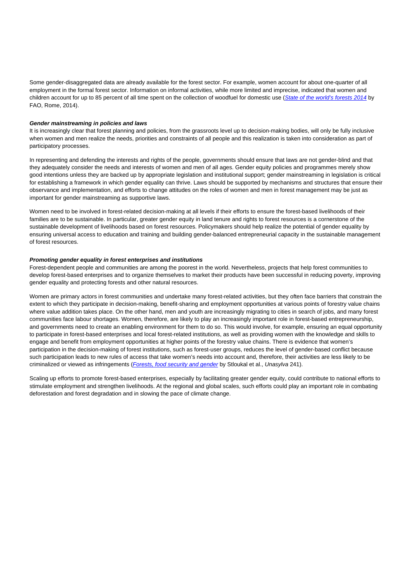Some gender-disaggregated data are already available for the forest sector. For example, women account for about one-quarter of all employment in the formal forest sector. Information on informal activities, while more limited and imprecise, indicated that women and children account for up to 85 percent of all time spent on the collection of woodfuel for domestic use ([State of the world's forests 2014](http://www.fao.org/forestry/sofo/en/) by FAO, Rome, 2014).

#### **Gender mainstreaming in policies and laws**

It is increasingly clear that forest planning and policies, from the grassroots level up to decision-making bodies, will only be fully inclusive when women and men realize the needs, priorities and constraints of all people and this realization is taken into consideration as part of participatory processes.

In representing and defending the interests and rights of the people, governments should ensure that laws are not gender-blind and that they adequately consider the needs and interests of women and men of all ages. Gender equity policies and programmes merely show good intentions unless they are backed up by appropriate legislation and institutional support; gender mainstreaming in legislation is critical for establishing a framework in which gender equality can thrive. Laws should be supported by mechanisms and structures that ensure their observance and implementation, and efforts to change attitudes on the roles of women and men in forest management may be just as important for gender mainstreaming as supportive laws.

Women need to be involved in forest-related decision-making at all levels if their efforts to ensure the forest-based livelihoods of their families are to be sustainable. In particular, greater gender equity in land tenure and rights to forest resources is a cornerstone of the sustainable development of livelihoods based on forest resources. Policymakers should help realize the potential of gender equality by ensuring universal access to education and training and building gender-balanced entrepreneurial capacity in the sustainable management of forest resources.

#### **Promoting gender equality in forest enterprises and institutions**

Forest-dependent people and communities are among the poorest in the world. Nevertheless, projects that help forest communities to develop forest-based enterprises and to organize themselves to market their products have been successful in reducing poverty, improving gender equality and protecting forests and other natural resources.

Women are primary actors in forest communities and undertake many forest-related activities, but they often face barriers that constrain the extent to which they participate in decision-making, benefit-sharing and employment opportunities at various points of forestry value chains where value addition takes place. On the other hand, men and youth are increasingly migrating to cities in search of jobs, and many forest communities face labour shortages. Women, therefore, are likely to play an increasingly important role in forest-based entrepreneurship, and governments need to create an enabling environment for them to do so. This would involve, for example, ensuring an equal opportunity to participate in forest-based enterprises and local forest-related institutions, as well as providing women with the knowledge and skills to engage and benefit from employment opportunities at higher points of the forestry value chains. There is evidence that women's participation in the decision-making of forest institutions, such as forest-user groups, reduces the level of gender-based conflict because such participation leads to new rules of access that take women's needs into account and, therefore, their activities are less likely to be criminalized or viewed as infringements ([Forests, food security and gender](http://www.fao.org/docrep/019/i3482e/i3482e.pdf) by Stloukal et al., Unasylva 241).

Scaling up efforts to promote forest-based enterprises, especially by facilitating greater gender equity, could contribute to national efforts to stimulate employment and strengthen livelihoods. At the regional and global scales, such efforts could play an important role in combating deforestation and forest degradation and in slowing the pace of climate change.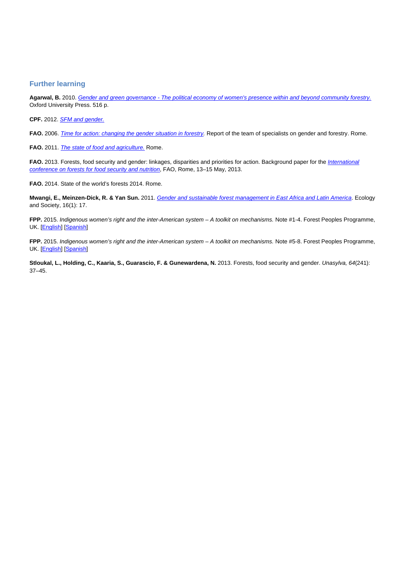# **Further learning**

**Agarwal, B.** 2010. [Gender and green governance - The political economy of women's presence within and beyond community forestry.](http://ukcatalogue.oup.com/product/9780199569687.do#) Oxford University Press. 516 p.

**CPF.** 2012. [SFM and gender.](http://www.cpfweb.org/32828-0f4caaaf53f72f2208d8a6b07d4bc9155.pdf)

FAO. 2006. [Time for action: changing the gender situation in forestry](http://www.fao.org/tempref/docrep/fao/009/a0549e/a0549e00.pdf). Report of the team of specialists on gender and forestry. Rome.

FAO. 2011. [The state of food and agriculture.](http://www.fao.org/docrep/013/i2050e/i2050e.pdf) Rome.

FAO. 2013. Forests, food security and gender: linkages, disparities and priorities for action. Background paper for the *[International](http://www.fao.org/forestry/37071-07fcc88f7f1162db37cfea44e99b9f1c4.pdf)* [conference on forests for food security and nutrition](http://www.fao.org/forestry/37071-07fcc88f7f1162db37cfea44e99b9f1c4.pdf), FAO, Rome, 13–15 May, 2013.

**FAO.** 2014. State of the world's forests 2014. Rome.

**Mwangi, E., Meinzen-Dick, R. & Yan Sun.** 2011. [Gender and sustainable forest management in East Africa and Latin America](http://www.ecologyandsociety.org/vol16/iss1/art17/). Ecology and Society, 16(1): 17.

**FPP.** 2015. Indigenous women's right and the inter-American system – A toolkit on mechanisms. Note #1-4. Forest Peoples Programme, UK. [[English\]](http://www.forestpeoples.org/sites/fpp/files/private/publication/2015/03/enginserts-1-4_0.pdf) [[Spanish\]](http://www.forestpeoples.org/sites/fpp/files/private/publication/2015/03/toolkit-notes-1-4-spanish.pdf)

**FPP.** 2015. Indigenous women's right and the inter-American system – A toolkit on mechanisms. Note #5-8. Forest Peoples Programme, UK. [[English\]](http://www.forestpeoples.org/sites/fpp/files/private/publication/2015/03/enginserts-5-8_0.pdf) [[Spanish\]](http://www.forestpeoples.org/sites/fpp/files/private/publication/2015/03/toolkit-notes-5-8-spanish.pdf)

Stloukal, L., Holding, C., Kaaria, S., Guarascio, F. & Gunewardena, N. 2013. Forests, food security and gender. Unasylva, 64(241): 37–45.